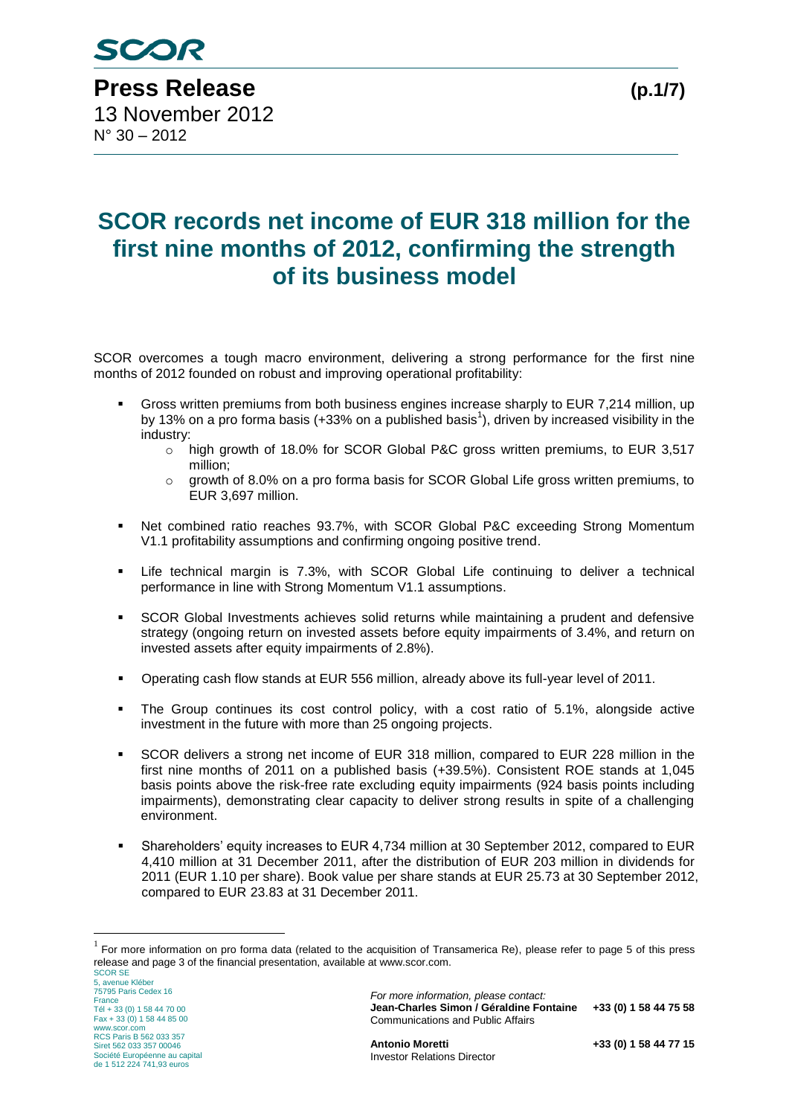**Press Release (p.1/7)** 13 November 2012 N° 30 – 2012

# **SCOR records net income of EUR 318 million for the first nine months of 2012, confirming the strength of its business model**

SCOR overcomes a tough macro environment, delivering a strong performance for the first nine months of 2012 founded on robust and improving operational profitability:

- Gross written premiums from both business engines increase sharply to EUR 7,214 million, up by 13% on a pro forma basis (+33% on a published basis<sup>1</sup>), driven by increased visibility in the industry:
	- o high growth of 18.0% for SCOR Global P&C gross written premiums, to EUR 3,517 million;
	- $\circ$  growth of 8.0% on a pro forma basis for SCOR Global Life gross written premiums, to EUR 3,697 million.
- Net combined ratio reaches 93.7%, with SCOR Global P&C exceeding Strong Momentum V1.1 profitability assumptions and confirming ongoing positive trend.
- Life technical margin is 7.3%, with SCOR Global Life continuing to deliver a technical performance in line with Strong Momentum V1.1 assumptions.
- SCOR Global Investments achieves solid returns while maintaining a prudent and defensive strategy (ongoing return on invested assets before equity impairments of 3.4%, and return on invested assets after equity impairments of 2.8%).
- Operating cash flow stands at EUR 556 million, already above its full-year level of 2011.
- The Group continues its cost control policy, with a cost ratio of 5.1%, alongside active investment in the future with more than 25 ongoing projects.
- SCOR delivers a strong net income of EUR 318 million, compared to EUR 228 million in the first nine months of 2011 on a published basis (+39.5%). Consistent ROE stands at 1,045 basis points above the risk-free rate excluding equity impairments (924 basis points including impairments), demonstrating clear capacity to deliver strong results in spite of a challenging environment.
- Shareholders' equity increases to EUR 4,734 million at 30 September 2012, compared to EUR 4,410 million at 31 December 2011, after the distribution of EUR 203 million in dividends for 2011 (EUR 1.10 per share). Book value per share stands at EUR 25.73 at 30 September 2012, compared to EUR 23.83 at 31 December 2011.

SCOR SE 5, avenue Kléber 75795 Paris Cedex 16 France Tél + 33 (0) 1 58 44 70 00 Fax + 33 (0) 1 58 44 85 00 www.scor.com RCS Paris B 562 033 357 Siret 562 033 357 00046 Société Européenne au capital de 1 512 224 741,93 euros

1

*For more information, please contact:* **Jean-Charles Simon / Géraldine Fontaine +33 (0) 1 58 44 75 58** Communications and Public Affairs

 $1$  For more information on pro forma data (related to the acquisition of Transamerica Re), please refer to page 5 of this press release and page 3 of the financial presentation, available at www.scor.com.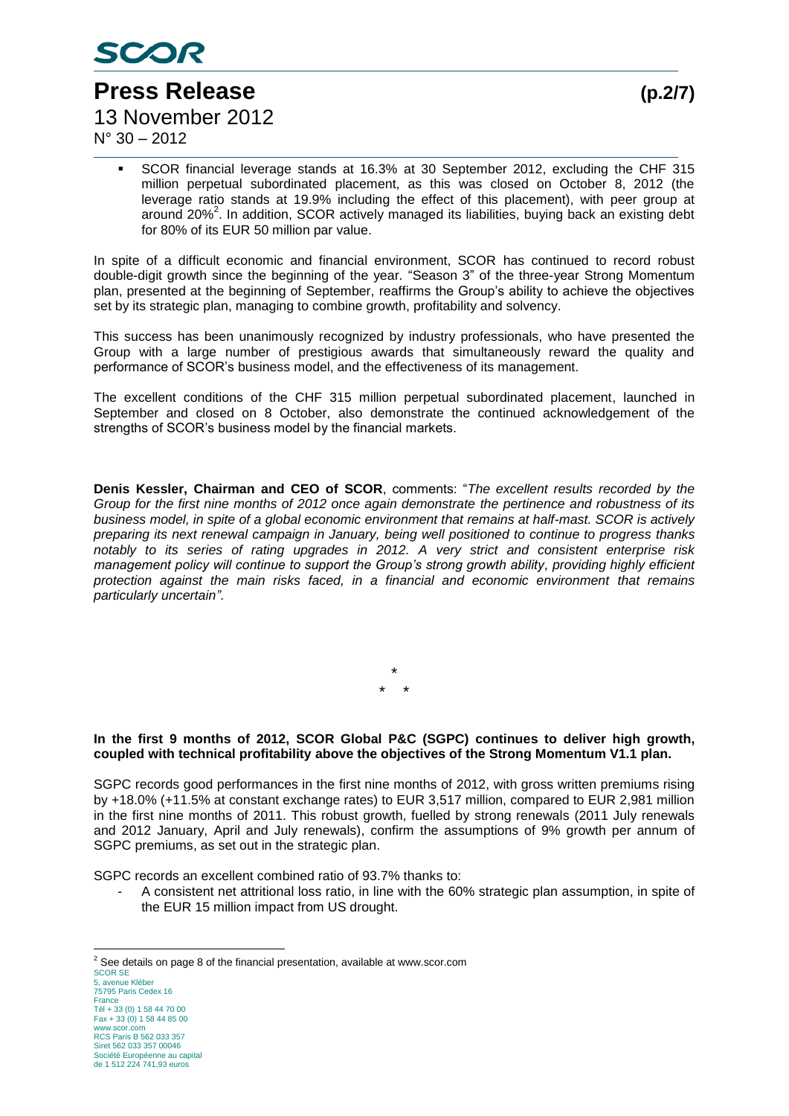

**Press Release (p.2/7)** 13 November 2012

 $N^{\circ}$  30 – 2012

 SCOR financial leverage stands at 16.3% at 30 September 2012, excluding the CHF 315 million perpetual subordinated placement, as this was closed on October 8, 2012 (the leverage ratio stands at 19.9% including the effect of this placement), with peer group at around 20%<sup>2</sup>. In addition, SCOR actively managed its liabilities, buying back an existing debt for 80% of its EUR 50 million par value.

In spite of a difficult economic and financial environment, SCOR has continued to record robust double-digit growth since the beginning of the year. "Season 3" of the three-year Strong Momentum plan, presented at the beginning of September, reaffirms the Group's ability to achieve the objectives set by its strategic plan, managing to combine growth, profitability and solvency.

This success has been unanimously recognized by industry professionals, who have presented the Group with a large number of prestigious awards that simultaneously reward the quality and performance of SCOR's business model, and the effectiveness of its management.

The excellent conditions of the CHF 315 million perpetual subordinated placement, launched in September and closed on 8 October, also demonstrate the continued acknowledgement of the strengths of SCOR's business model by the financial markets.

**Denis Kessler, Chairman and CEO of SCOR**, comments: "*The excellent results recorded by the Group for the first nine months of 2012 once again demonstrate the pertinence and robustness of its business model, in spite of a global economic environment that remains at half-mast. SCOR is actively preparing its next renewal campaign in January, being well positioned to continue to progress thanks notably to its series of rating upgrades in 2012. A very strict and consistent enterprise risk management policy will continue to support the Group's strong growth ability, providing highly efficient protection against the main risks faced, in a financial and economic environment that remains particularly uncertain"*.

> \* \* \*

#### **In the first 9 months of 2012, SCOR Global P&C (SGPC) continues to deliver high growth, coupled with technical profitability above the objectives of the Strong Momentum V1.1 plan.**

SGPC records good performances in the first nine months of 2012, with gross written premiums rising by +18.0% (+11.5% at constant exchange rates) to EUR 3,517 million, compared to EUR 2,981 million in the first nine months of 2011. This robust growth, fuelled by strong renewals (2011 July renewals and 2012 January, April and July renewals), confirm the assumptions of 9% growth per annum of SGPC premiums, as set out in the strategic plan.

SGPC records an excellent combined ratio of 93.7% thanks to:

A consistent net attritional loss ratio, in line with the 60% strategic plan assumption, in spite of the EUR 15 million impact from US drought.

<sup>&</sup>lt;u>.</u>  $2$  See details on page 8 of the financial presentation, available at www.scor.com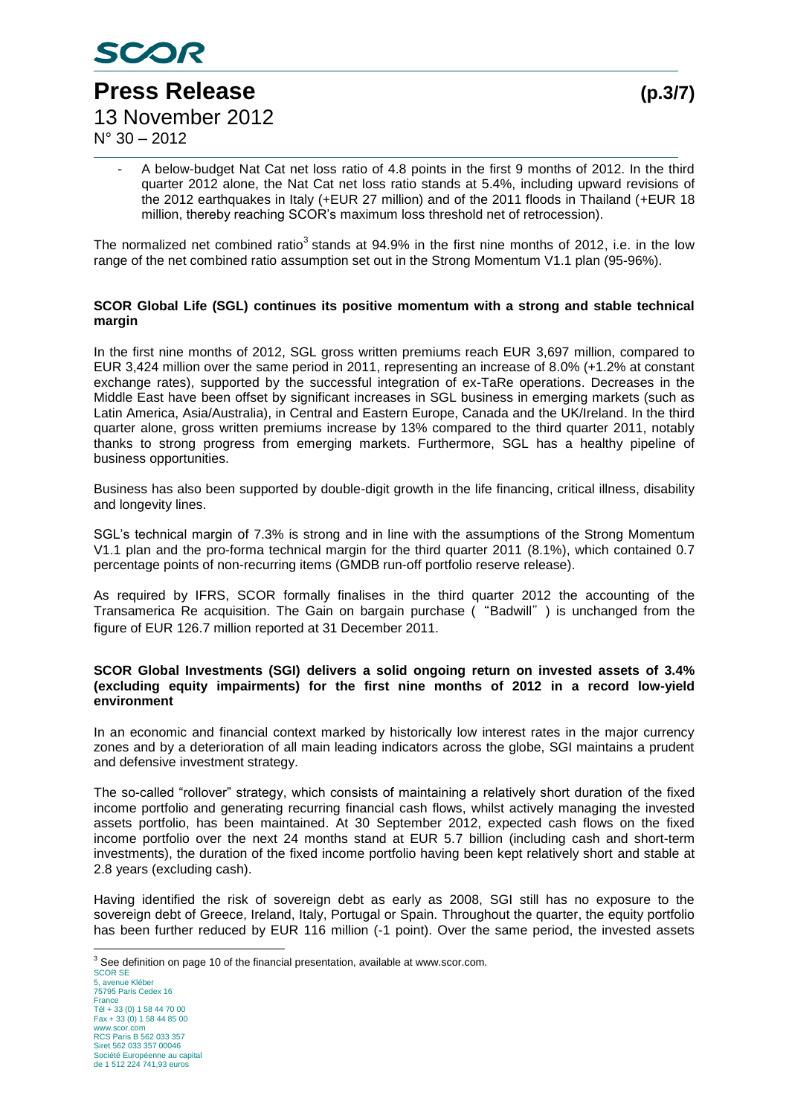

N° 30 – 2012

**Press Release (p.3/7)** 13 November 2012

A below-budget Nat Cat net loss ratio of 4.8 points in the first 9 months of 2012. In the third quarter 2012 alone, the Nat Cat net loss ratio stands at 5.4%, including upward revisions of the 2012 earthquakes in Italy (+EUR 27 million) and of the 2011 floods in Thailand (+EUR 18 million, thereby reaching SCOR's maximum loss threshold net of retrocession).

The normalized net combined ratio<sup>3</sup> stands at 94.9% in the first nine months of 2012, i.e. in the low range of the net combined ratio assumption set out in the Strong Momentum V1.1 plan (95-96%).

#### **SCOR Global Life (SGL) continues its positive momentum with a strong and stable technical margin**

In the first nine months of 2012, SGL gross written premiums reach EUR 3,697 million, compared to EUR 3,424 million over the same period in 2011, representing an increase of 8.0% (+1.2% at constant exchange rates), supported by the successful integration of ex-TaRe operations. Decreases in the Middle East have been offset by significant increases in SGL business in emerging markets (such as Latin America, Asia/Australia), in Central and Eastern Europe, Canada and the UK/Ireland. In the third quarter alone, gross written premiums increase by 13% compared to the third quarter 2011, notably thanks to strong progress from emerging markets. Furthermore, SGL has a healthy pipeline of business opportunities.

Business has also been supported by double-digit growth in the life financing, critical illness, disability and longevity lines.

SGL's technical margin of 7.3% is strong and in line with the assumptions of the Strong Momentum V1.1 plan and the pro-forma technical margin for the third quarter 2011 (8.1%), which contained 0.7 percentage points of non-recurring items (GMDB run-off portfolio reserve release).

As required by IFRS, SCOR formally finalises in the third quarter 2012 the accounting of the Transamerica Re acquisition. The Gain on bargain purchase ("Badwill") is unchanged from the figure of EUR 126.7 million reported at 31 December 2011.

#### **SCOR Global Investments (SGI) delivers a solid ongoing return on invested assets of 3.4% (excluding equity impairments) for the first nine months of 2012 in a record low-yield environment**

In an economic and financial context marked by historically low interest rates in the major currency zones and by a deterioration of all main leading indicators across the globe, SGI maintains a prudent and defensive investment strategy.

The so-called "rollover" strategy, which consists of maintaining a relatively short duration of the fixed income portfolio and generating recurring financial cash flows, whilst actively managing the invested assets portfolio, has been maintained. At 30 September 2012, expected cash flows on the fixed income portfolio over the next 24 months stand at EUR 5.7 billion (including cash and short-term investments), the duration of the fixed income portfolio having been kept relatively short and stable at 2.8 years (excluding cash).

Having identified the risk of sovereign debt as early as 2008, SGI still has no exposure to the sovereign debt of Greece, Ireland, Italy, Portugal or Spain. Throughout the quarter, the equity portfolio has been further reduced by EUR 116 million (-1 point). Over the same period, the invested assets

<u>.</u> <sup>3</sup> See definition on page 10 of the financial presentation, available at www.scor.com.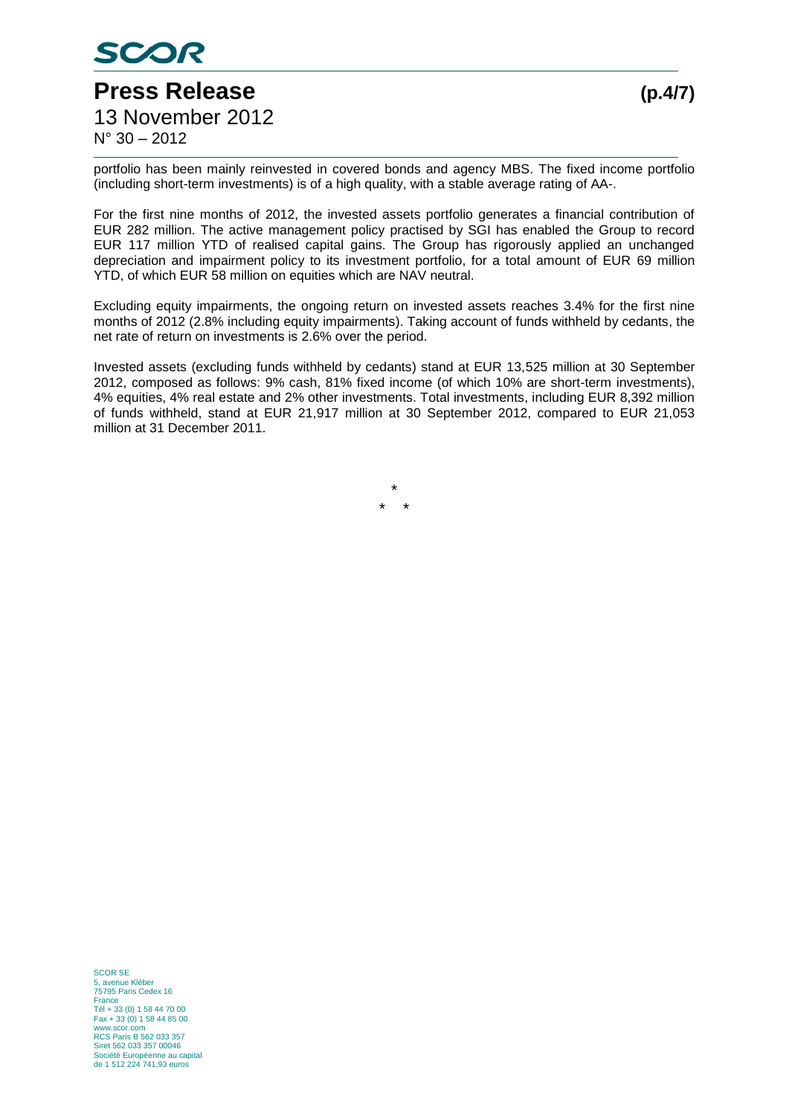

N° 30 – 2012

portfolio has been mainly reinvested in covered bonds and agency MBS. The fixed income portfolio (including short-term investments) is of a high quality, with a stable average rating of AA-.

For the first nine months of 2012, the invested assets portfolio generates a financial contribution of EUR 282 million. The active management policy practised by SGI has enabled the Group to record EUR 117 million YTD of realised capital gains. The Group has rigorously applied an unchanged depreciation and impairment policy to its investment portfolio, for a total amount of EUR 69 million YTD, of which EUR 58 million on equities which are NAV neutral.

Excluding equity impairments, the ongoing return on invested assets reaches 3.4% for the first nine months of 2012 (2.8% including equity impairments). Taking account of funds withheld by cedants, the net rate of return on investments is 2.6% over the period.

Invested assets (excluding funds withheld by cedants) stand at EUR 13,525 million at 30 September 2012, composed as follows: 9% cash, 81% fixed income (of which 10% are short-term investments), 4% equities, 4% real estate and 2% other investments. Total investments, including EUR 8,392 million of funds withheld, stand at EUR 21,917 million at 30 September 2012, compared to EUR 21,053 million at 31 December 2011.

> \* \* \*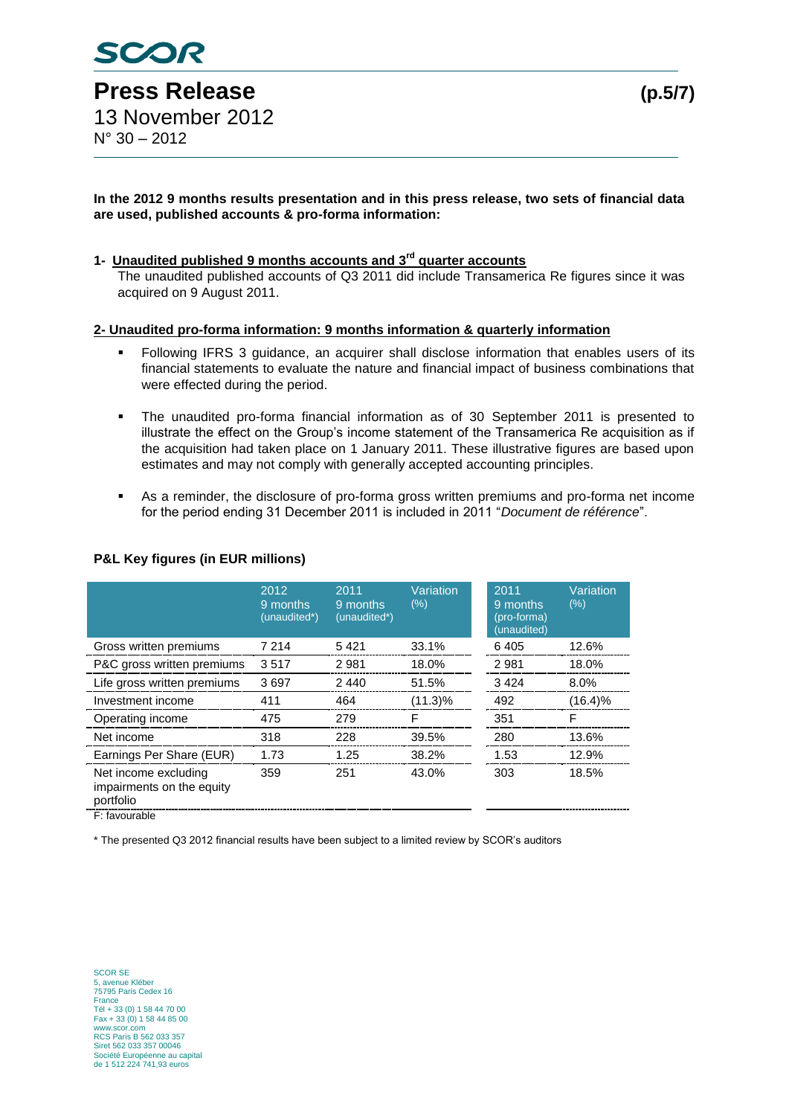#### **In the 2012 9 months results presentation and in this press release, two sets of financial data are used, published accounts & pro-forma information:**

### **1- Unaudited published 9 months accounts and 3rd quarter accounts**

The unaudited published accounts of Q3 2011 did include Transamerica Re figures since it was acquired on 9 August 2011.

#### **2- Unaudited pro-forma information: 9 months information & quarterly information**

- Following IFRS 3 guidance, an acquirer shall disclose information that enables users of its financial statements to evaluate the nature and financial impact of business combinations that were effected during the period.
- The unaudited pro-forma financial information as of 30 September 2011 is presented to illustrate the effect on the Group's income statement of the Transamerica Re acquisition as if the acquisition had taken place on 1 January 2011. These illustrative figures are based upon estimates and may not comply with generally accepted accounting principles.
- As a reminder, the disclosure of pro-forma gross written premiums and pro-forma net income for the period ending 31 December 2011 is included in 2011 "*Document de référence*".

|                                                                | 2012<br>9 months<br>(unaudited*) | 2011<br>9 months<br>(unaudited*) | Variation<br>$(\%)$ | 2011<br>9 months<br>(pro-forma)<br>(unaudited) | Variation<br>(%) |
|----------------------------------------------------------------|----------------------------------|----------------------------------|---------------------|------------------------------------------------|------------------|
| Gross written premiums                                         | 7 2 1 4                          | 5421                             | 33.1%               | 6405                                           | 12.6%            |
| P&C gross written premiums                                     | 3517                             | 2981                             | 18.0%               | 2981                                           | 18.0%            |
| Life gross written premiums                                    | 3697                             | 2440                             | 51.5%               | 3424                                           | 8.0%             |
| Investment income                                              | 411                              | 464                              | $(11.3)\%$          | 492                                            | (16.4)%          |
| Operating income                                               | 475                              | 279                              | F                   | 351                                            | F                |
| Net income                                                     | 318                              | 228                              | 39.5%               | 280                                            | 13.6%            |
| Earnings Per Share (EUR)                                       | 1.73                             | 1.25                             | 38.2%               | 1.53                                           | 12.9%            |
| Net income excluding<br>impairments on the equity<br>portfolio | 359                              | 251                              | 43.0%               | 303                                            | 18.5%            |
| E: favourable                                                  |                                  |                                  |                     |                                                |                  |

### **P&L Key figures (in EUR millions)**

\* The presented Q3 2012 financial results have been subject to a limited review by SCOR's auditors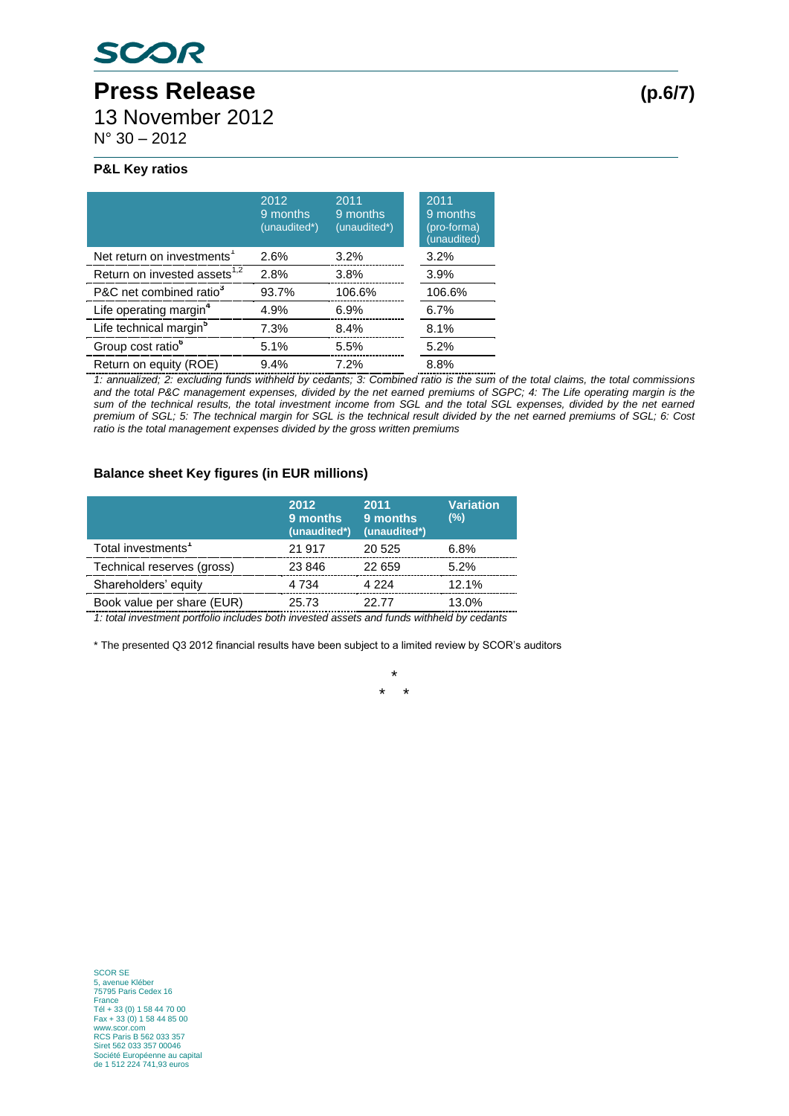# **Press Release (p.6/7)** 13 November 2012

N° 30 – 2012

### **P&L Key ratios**

|                                          | 2012<br>9 months<br>(unaudited*) | 2011<br>9 months<br>(unaudited*) | 2011<br>9 months<br>(pro-forma)<br>(unaudited) |
|------------------------------------------|----------------------------------|----------------------------------|------------------------------------------------|
| Net return on investments <sup>1</sup>   | 2.6%                             | 3.2%                             | 3.2%                                           |
| Return on invested assets <sup>1,2</sup> | 2.8%                             | 3.8%                             | 3.9%                                           |
| P&C net combined ratio <sup>3</sup>      | 93.7%                            | 106.6%                           | 106.6%                                         |
| Life operating margin <sup>4</sup>       | 4.9%                             | 6.9%                             | 6.7%                                           |
| Life technical margin <sup>5</sup>       | 7.3%                             | 8.4%                             | 8.1%                                           |
| Group cost ratio <sup>6</sup>            | 5.1%                             | 5.5%                             | 5.2%                                           |
| Return on equity (ROE)                   | 9.4%                             | 7.2%                             | 8.8%                                           |

*1: annualized; 2: excluding funds withheld by cedants; 3: Combined ratio is the sum of the total claims, the total commissions and the total P&C management expenses, divided by the net earned premiums of SGPC; 4: The Life operating margin is the*  sum of the technical results, the total investment income from SGL and the total SGL expenses, divided by the net earned *premium of SGL; 5: The technical margin for SGL is the technical result divided by the net earned premiums of SGL; 6: Cost ratio is the total management expenses divided by the gross written premiums*

## **Balance sheet Key figures (in EUR millions)**

|                                | 2012<br>9 months<br>(unaudited*) | 2011<br>9 months<br>(unaudited*) | <b>Variation</b><br>(%) |
|--------------------------------|----------------------------------|----------------------------------|-------------------------|
| Total investments <sup>1</sup> | 21 917                           | 20 525                           | 6.8%                    |
| Technical reserves (gross)     | 23 846                           | 22 659                           | 5.2%                    |
| Shareholders' equity           | 4 7 3 4                          | 4 2 2 4                          | 12.1%                   |
| Book value per share (EUR)     | 25.73                            | 22.77                            | 13.0%                   |

*1: total investment portfolio includes both invested assets and funds withheld by cedants*

\* The presented Q3 2012 financial results have been subject to a limited review by SCOR's auditors

\* \* \*